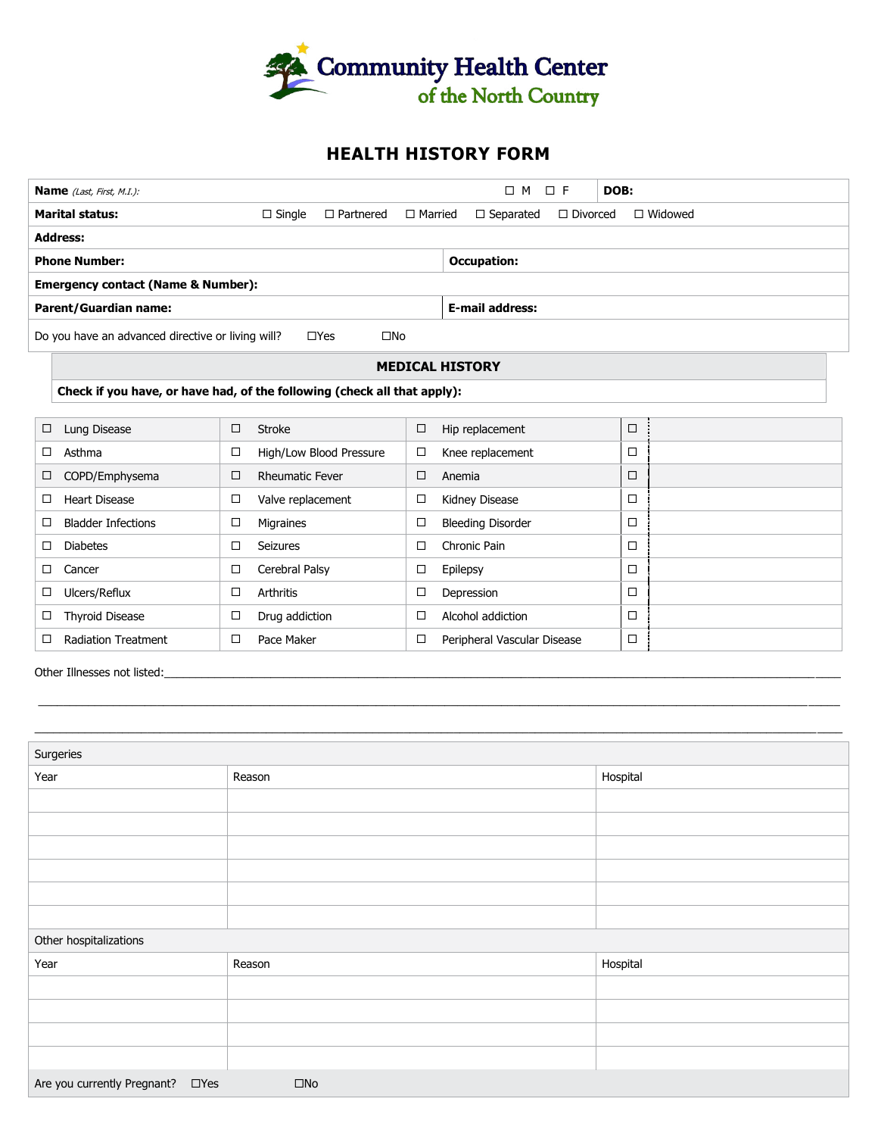

## **HEALTH HISTORY FORM**

| <b>Name</b> ( <i>Last, First, M.I.</i> ):         |               | DOB:<br>$\square$ F<br>$\Box$ M |                |                        |                 |                |
|---------------------------------------------------|---------------|---------------------------------|----------------|------------------------|-----------------|----------------|
| <b>Marital status:</b>                            | $\Box$ Single | $\Box$ Partnered                | $\Box$ Married | $\Box$ Separated       | $\Box$ Divorced | $\Box$ Widowed |
| <b>Address:</b>                                   |               |                                 |                |                        |                 |                |
| <b>Phone Number:</b>                              |               |                                 |                | Occupation:            |                 |                |
| <b>Emergency contact (Name &amp; Number):</b>     |               |                                 |                |                        |                 |                |
| Parent/Guardian name:                             |               |                                 |                | <b>E-mail address:</b> |                 |                |
| Do you have an advanced directive or living will? |               | $\Box$ Yes<br>□No               |                |                        |                 |                |

## **MEDICAL HISTORY**

**Check if you have, or have had, of the following (check all that apply):**

| $\Box$                    | □                       | $\Box$                      | □      |
|---------------------------|-------------------------|-----------------------------|--------|
| Lung Disease              | Stroke                  | Hip replacement             |        |
| Asthma                    | High/Low Blood Pressure | Knee replacement            | □      |
| □                         | $\Box$                  | □                           |        |
| COPD/Emphysema            | □                       | $\Box$                      | □      |
| $\Box$                    | <b>Rheumatic Fever</b>  | Anemia                      |        |
| <b>Heart Disease</b>      | Valve replacement       | Kidney Disease              | □      |
| □                         | □                       | □                           |        |
| <b>Bladder Infections</b> | □                       | $\Box$                      | □      |
| □                         | Migraines               | <b>Bleeding Disorder</b>    |        |
| <b>Diabetes</b>           | <b>Seizures</b>         | □                           | □      |
| □                         | □                       | Chronic Pain                |        |
| Cancer                    | Cerebral Palsy          | $\Box$                      | □      |
| □                         | □                       | Epilepsy                    |        |
| Ulcers/Reflux             | Arthritis               | □                           | □      |
| □                         | □                       | Depression                  |        |
| <b>Thyroid Disease</b>    | □                       | □                           | □      |
| □                         | Drug addiction          | Alcohol addiction           |        |
| Radiation Treatment       | Pace Maker              | $\Box$                      | $\Box$ |
| □                         | □                       | Peripheral Vascular Disease |        |

\_\_\_\_\_\_\_\_\_\_\_\_\_\_\_\_\_\_\_\_\_\_\_\_\_\_\_\_\_\_\_\_\_\_\_\_\_\_\_\_\_\_\_\_\_\_\_\_\_\_\_\_\_\_\_\_\_\_\_\_\_\_\_\_\_\_\_\_\_\_\_\_\_\_\_\_\_\_\_\_\_\_\_\_\_\_\_\_\_\_\_\_\_\_\_\_\_\_\_\_\_\_\_\_\_\_\_\_\_\_\_\_\_\_\_\_\_\_\_\_\_\_\_\_\_\_\_\_ \_\_\_\_\_\_\_\_\_\_\_\_\_\_\_\_\_\_\_\_\_\_\_\_\_\_\_\_\_\_\_\_\_\_\_\_\_\_\_\_\_\_\_\_\_\_\_\_\_\_\_\_\_\_\_\_\_\_\_\_\_\_\_\_\_\_\_\_\_\_\_\_\_\_\_\_\_\_\_\_\_\_\_\_\_\_\_\_\_\_\_\_\_\_\_\_\_\_\_\_\_\_\_\_\_\_\_\_\_\_\_\_\_\_\_\_\_\_\_\_\_\_\_\_\_\_\_\_\_

Other Illnesses not listed:

| Surgeries                                              |        |          |  |  |  |  |
|--------------------------------------------------------|--------|----------|--|--|--|--|
| Year                                                   | Reason | Hospital |  |  |  |  |
|                                                        |        |          |  |  |  |  |
|                                                        |        |          |  |  |  |  |
|                                                        |        |          |  |  |  |  |
|                                                        |        |          |  |  |  |  |
|                                                        |        |          |  |  |  |  |
|                                                        |        |          |  |  |  |  |
| Other hospitalizations                                 |        |          |  |  |  |  |
| Year                                                   | Reason | Hospital |  |  |  |  |
|                                                        |        |          |  |  |  |  |
|                                                        |        |          |  |  |  |  |
|                                                        |        |          |  |  |  |  |
|                                                        |        |          |  |  |  |  |
| Are you currently Pregnant?<br>$\Box$ Yes<br>$\Box$ No |        |          |  |  |  |  |